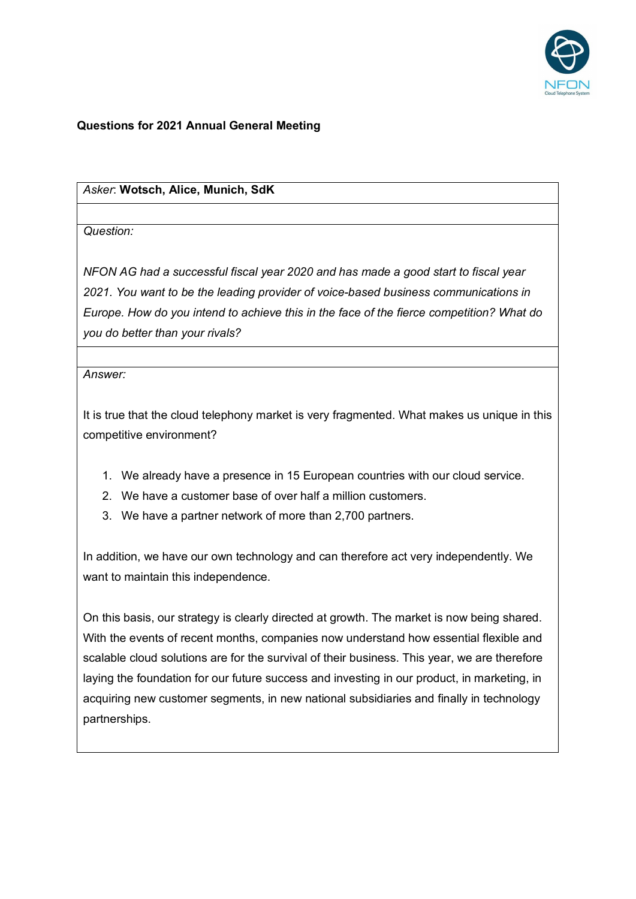

## **Questions for 2021 Annual General Meeting**

## *Asker*: **Wotsch, Alice, Munich, SdK**

*Question:* 

*NFON AG had a successful fiscal year 2020 and has made a good start to fiscal year 2021. You want to be the leading provider of voice-based business communications in Europe. How do you intend to achieve this in the face of the fierce competition? What do you do better than your rivals?*

*Answer:*

It is true that the cloud telephony market is very fragmented. What makes us unique in this competitive environment?

- 1. We already have a presence in 15 European countries with our cloud service.
- 2. We have a customer base of over half a million customers.
- 3. We have a partner network of more than 2,700 partners.

In addition, we have our own technology and can therefore act very independently. We want to maintain this independence.

On this basis, our strategy is clearly directed at growth. The market is now being shared. With the events of recent months, companies now understand how essential flexible and scalable cloud solutions are for the survival of their business. This year, we are therefore laying the foundation for our future success and investing in our product, in marketing, in acquiring new customer segments, in new national subsidiaries and finally in technology partnerships.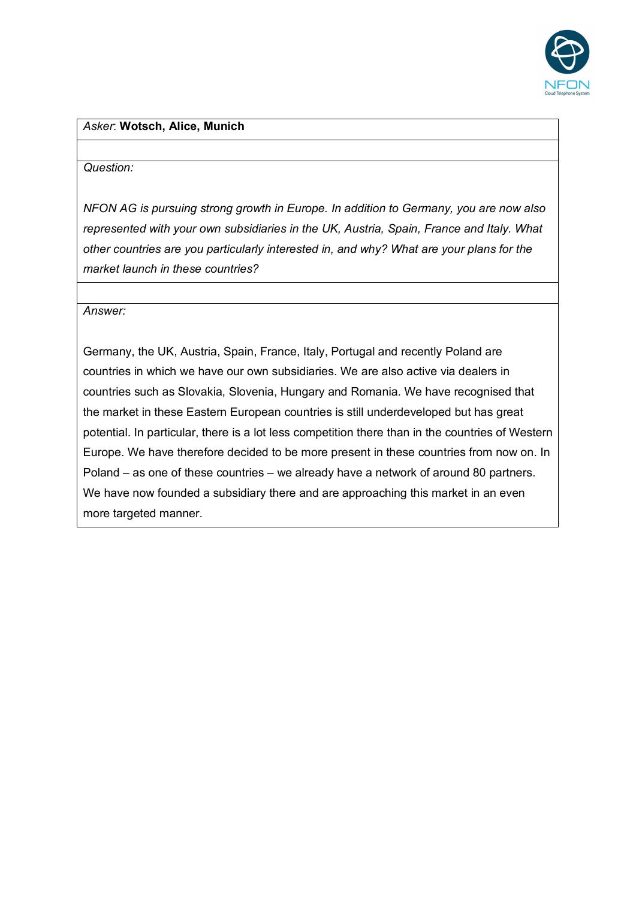

#### *Asker*: **Wotsch, Alice, Munich**

#### *Question:*

*NFON AG is pursuing strong growth in Europe. In addition to Germany, you are now also represented with your own subsidiaries in the UK, Austria, Spain, France and Italy. What other countries are you particularly interested in, and why? What are your plans for the market launch in these countries?*

*Answer:*

Germany, the UK, Austria, Spain, France, Italy, Portugal and recently Poland are countries in which we have our own subsidiaries. We are also active via dealers in countries such as Slovakia, Slovenia, Hungary and Romania. We have recognised that the market in these Eastern European countries is still underdeveloped but has great potential. In particular, there is a lot less competition there than in the countries of Western Europe. We have therefore decided to be more present in these countries from now on. In Poland – as one of these countries – we already have a network of around 80 partners. We have now founded a subsidiary there and are approaching this market in an even more targeted manner.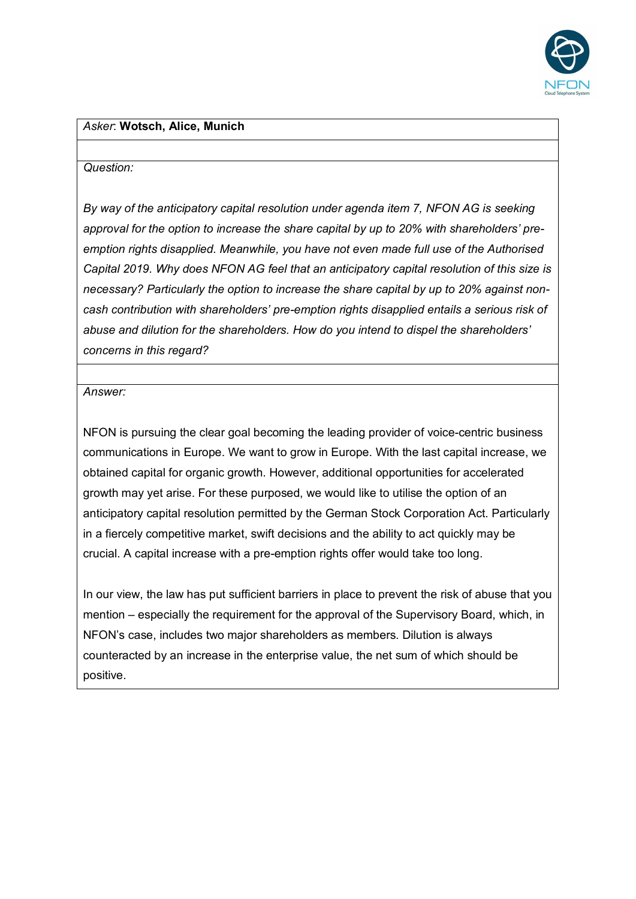

#### *Asker*: **Wotsch, Alice, Munich**

#### *Question:*

*By way of the anticipatory capital resolution under agenda item 7, NFON AG is seeking approval for the option to increase the share capital by up to 20% with shareholders' preemption rights disapplied. Meanwhile, you have not even made full use of the Authorised Capital 2019. Why does NFON AG feel that an anticipatory capital resolution of this size is necessary? Particularly the option to increase the share capital by up to 20% against noncash contribution with shareholders' pre-emption rights disapplied entails a serious risk of abuse and dilution for the shareholders. How do you intend to dispel the shareholders' concerns in this regard?*

*Answer:*

NFON is pursuing the clear goal becoming the leading provider of voice-centric business communications in Europe. We want to grow in Europe. With the last capital increase, we obtained capital for organic growth. However, additional opportunities for accelerated growth may yet arise. For these purposed, we would like to utilise the option of an anticipatory capital resolution permitted by the German Stock Corporation Act. Particularly in a fiercely competitive market, swift decisions and the ability to act quickly may be crucial. A capital increase with a pre-emption rights offer would take too long.

In our view, the law has put sufficient barriers in place to prevent the risk of abuse that you mention – especially the requirement for the approval of the Supervisory Board, which, in NFON's case, includes two major shareholders as members. Dilution is always counteracted by an increase in the enterprise value, the net sum of which should be positive.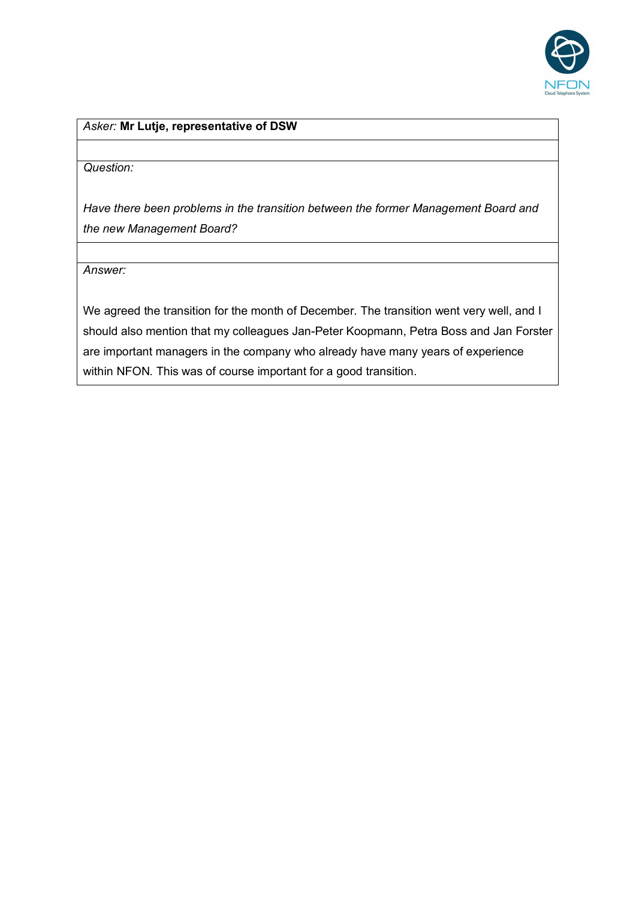

*Question:*

*Have there been problems in the transition between the former Management Board and the new Management Board?*

*Answer:* 

We agreed the transition for the month of December. The transition went very well, and I should also mention that my colleagues Jan-Peter Koopmann, Petra Boss and Jan Forster are important managers in the company who already have many years of experience within NFON. This was of course important for a good transition.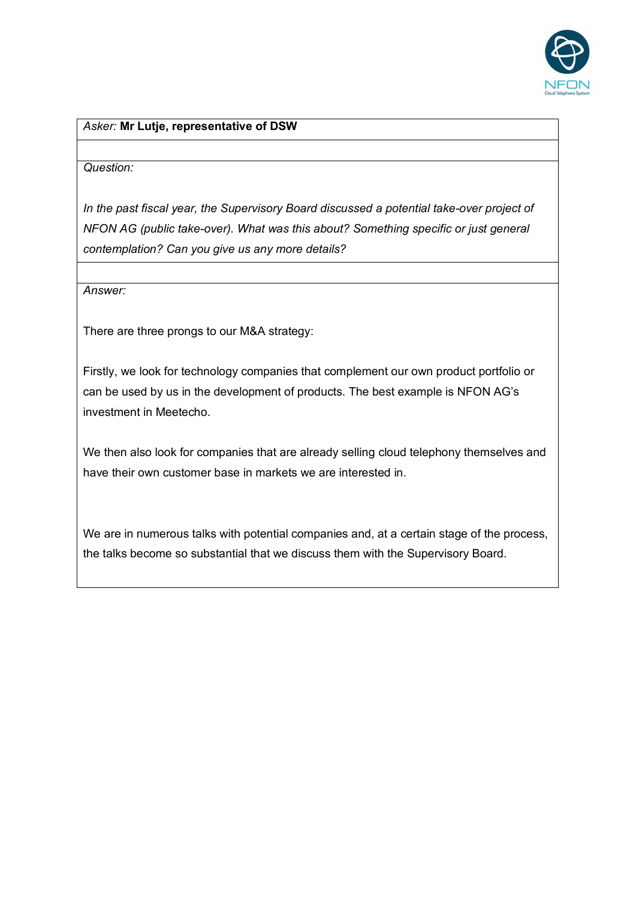

#### *Question:*

*In the past fiscal year, the Supervisory Board discussed a potential take-over project of NFON AG (public take-over). What was this about? Something specific or just general contemplation? Can you give us any more details?*

*Answer:*

There are three prongs to our M&A strategy:

Firstly, we look for technology companies that complement our own product portfolio or can be used by us in the development of products. The best example is NFON AG's investment in Meetecho.

We then also look for companies that are already selling cloud telephony themselves and have their own customer base in markets we are interested in.

We are in numerous talks with potential companies and, at a certain stage of the process, the talks become so substantial that we discuss them with the Supervisory Board.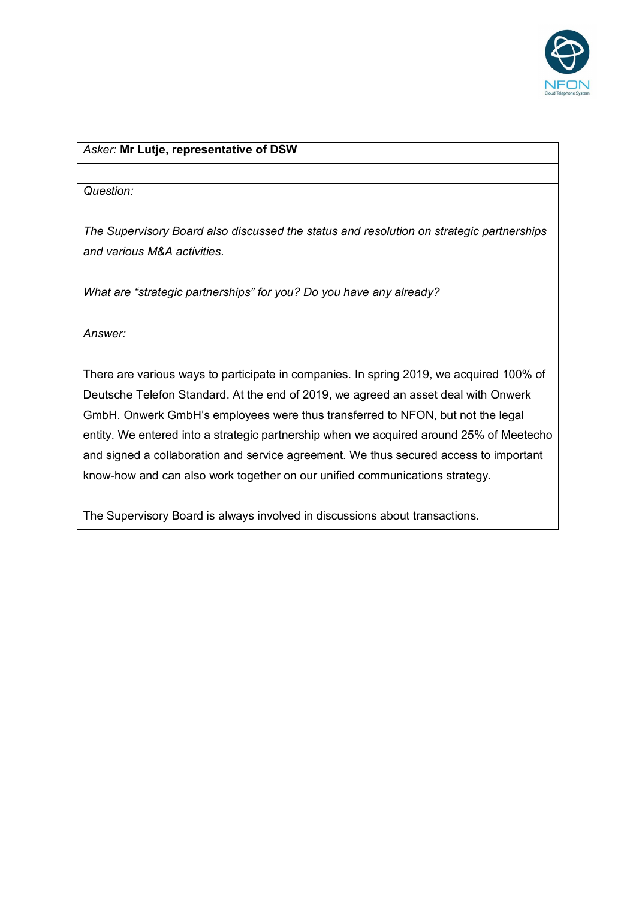

#### *Question:*

*The Supervisory Board also discussed the status and resolution on strategic partnerships and various M&A activities.*

*What are "strategic partnerships" for you? Do you have any already?*

*Answer:*

There are various ways to participate in companies. In spring 2019, we acquired 100% of Deutsche Telefon Standard. At the end of 2019, we agreed an asset deal with Onwerk GmbH. Onwerk GmbH's employees were thus transferred to NFON, but not the legal entity. We entered into a strategic partnership when we acquired around 25% of Meetecho and signed a collaboration and service agreement. We thus secured access to important know-how and can also work together on our unified communications strategy.

The Supervisory Board is always involved in discussions about transactions.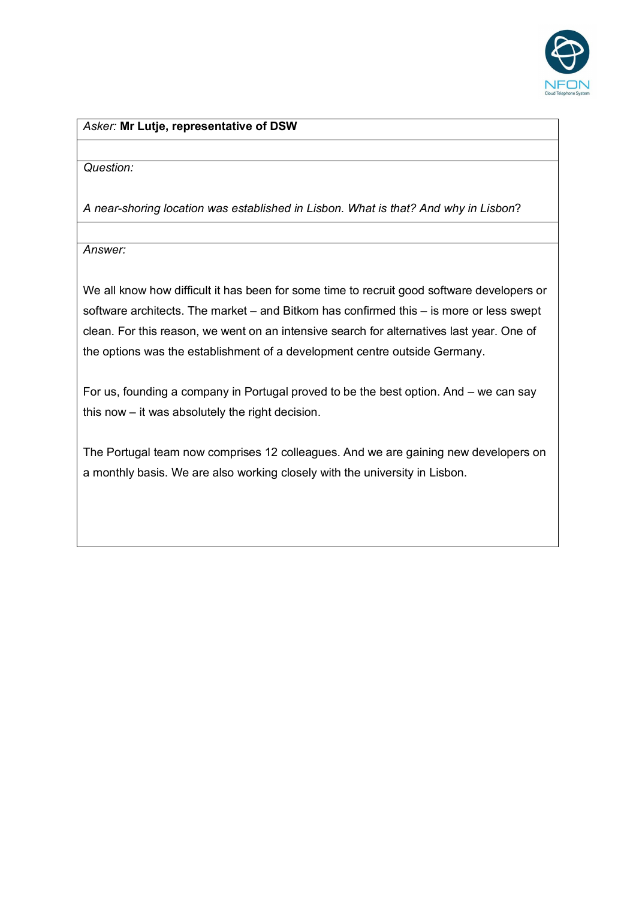

*Question:* 

*A near-shoring location was established in Lisbon. What is that? And why in Lisbon*?

*Answer:* 

We all know how difficult it has been for some time to recruit good software developers or software architects. The market – and Bitkom has confirmed this – is more or less swept clean. For this reason, we went on an intensive search for alternatives last year. One of the options was the establishment of a development centre outside Germany.

For us, founding a company in Portugal proved to be the best option. And – we can say this now – it was absolutely the right decision.

The Portugal team now comprises 12 colleagues. And we are gaining new developers on a monthly basis. We are also working closely with the university in Lisbon.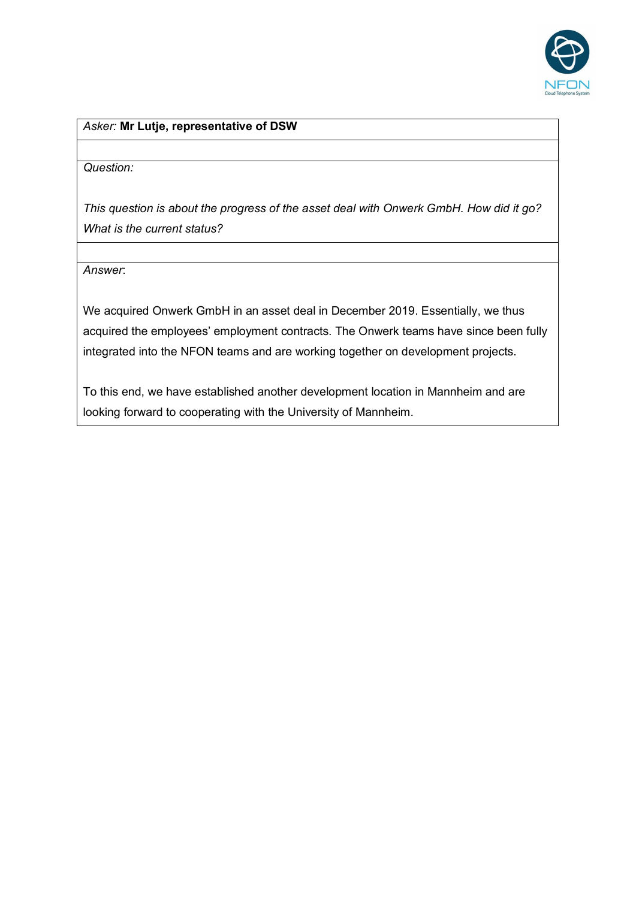

*Question:*

*This question is about the progress of the asset deal with Onwerk GmbH. How did it go? What is the current status?*

*Answer*:

We acquired Onwerk GmbH in an asset deal in December 2019. Essentially, we thus acquired the employees' employment contracts. The Onwerk teams have since been fully integrated into the NFON teams and are working together on development projects.

To this end, we have established another development location in Mannheim and are looking forward to cooperating with the University of Mannheim.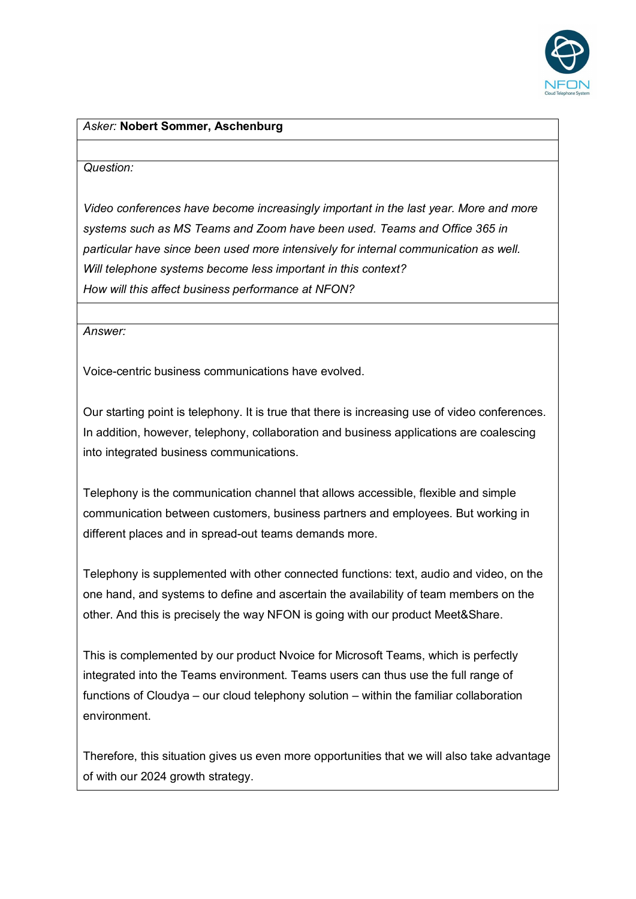

#### *Asker:* **Nobert Sommer, Aschenburg**

#### *Question:*

*Video conferences have become increasingly important in the last year. More and more systems such as MS Teams and Zoom have been used. Teams and Office 365 in particular have since been used more intensively for internal communication as well. Will telephone systems become less important in this context? How will this affect business performance at NFON?*

*Answer:*

Voice-centric business communications have evolved.

Our starting point is telephony. It is true that there is increasing use of video conferences. In addition, however, telephony, collaboration and business applications are coalescing into integrated business communications.

Telephony is the communication channel that allows accessible, flexible and simple communication between customers, business partners and employees. But working in different places and in spread-out teams demands more.

Telephony is supplemented with other connected functions: text, audio and video, on the one hand, and systems to define and ascertain the availability of team members on the other. And this is precisely the way NFON is going with our product Meet&Share.

This is complemented by our product Nvoice for Microsoft Teams, which is perfectly integrated into the Teams environment. Teams users can thus use the full range of functions of Cloudya – our cloud telephony solution – within the familiar collaboration environment.

Therefore, this situation gives us even more opportunities that we will also take advantage of with our 2024 growth strategy.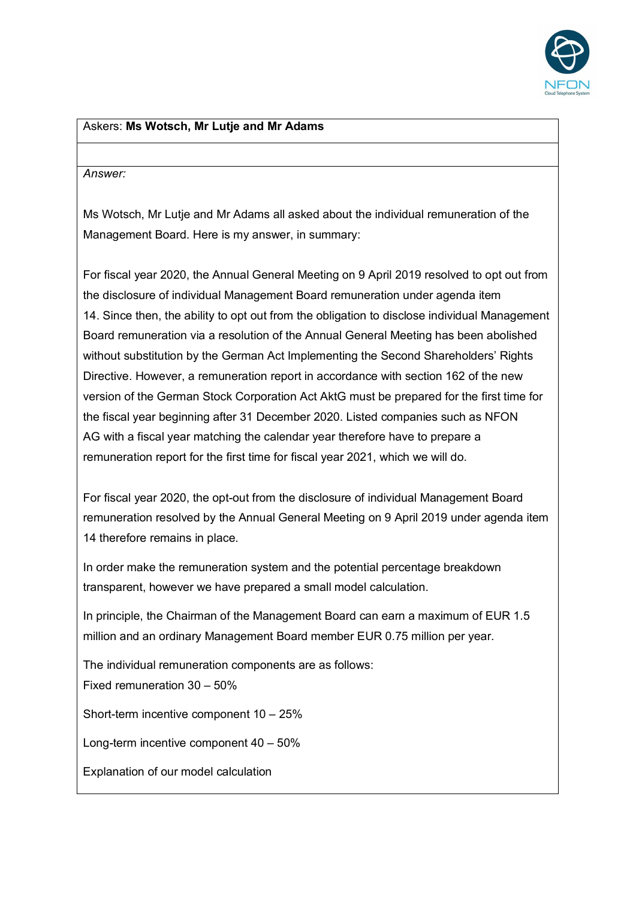

## Askers: **Ms Wotsch, Mr Lutje and Mr Adams**

#### *Answer:*

Ms Wotsch, Mr Lutje and Mr Adams all asked about the individual remuneration of the Management Board. Here is my answer, in summary:

For fiscal year 2020, the Annual General Meeting on 9 April 2019 resolved to opt out from the disclosure of individual Management Board remuneration under agenda item 14. Since then, the ability to opt out from the obligation to disclose individual Management Board remuneration via a resolution of the Annual General Meeting has been abolished without substitution by the German Act Implementing the Second Shareholders' Rights Directive. However, a remuneration report in accordance with section 162 of the new version of the German Stock Corporation Act AktG must be prepared for the first time for the fiscal year beginning after 31 December 2020. Listed companies such as NFON AG with a fiscal year matching the calendar year therefore have to prepare a remuneration report for the first time for fiscal year 2021, which we will do.

For fiscal year 2020, the opt-out from the disclosure of individual Management Board remuneration resolved by the Annual General Meeting on 9 April 2019 under agenda item 14 therefore remains in place.

In order make the remuneration system and the potential percentage breakdown transparent, however we have prepared a small model calculation.

In principle, the Chairman of the Management Board can earn a maximum of EUR 1.5 million and an ordinary Management Board member EUR 0.75 million per year.

The individual remuneration components are as follows: Fixed remuneration 30 – 50%

Short-term incentive component 10 – 25%

Long-term incentive component 40 – 50%

Explanation of our model calculation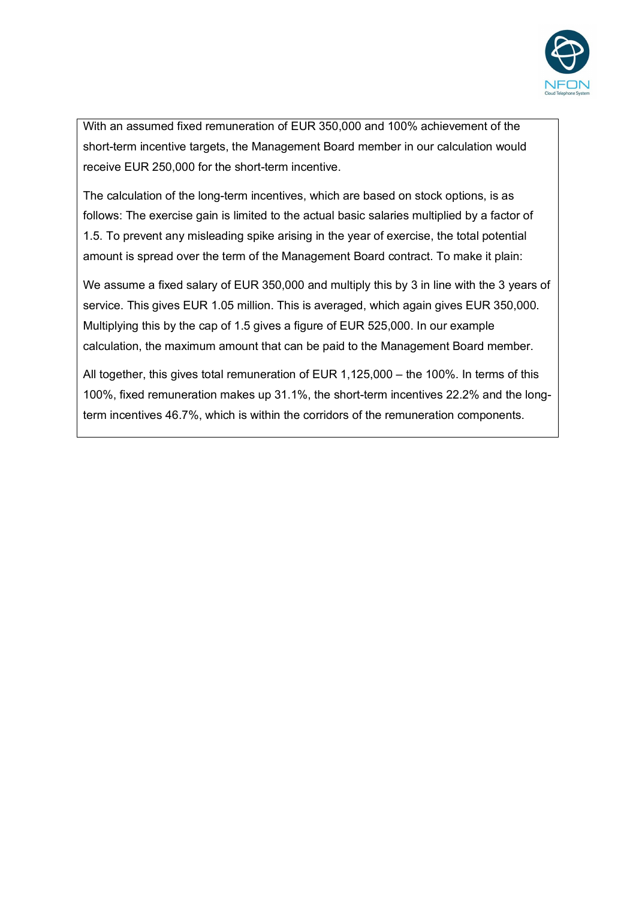

With an assumed fixed remuneration of EUR 350,000 and 100% achievement of the short-term incentive targets, the Management Board member in our calculation would receive EUR 250,000 for the short-term incentive.

The calculation of the long-term incentives, which are based on stock options, is as follows: The exercise gain is limited to the actual basic salaries multiplied by a factor of 1.5. To prevent any misleading spike arising in the year of exercise, the total potential amount is spread over the term of the Management Board contract. To make it plain:

We assume a fixed salary of EUR 350,000 and multiply this by 3 in line with the 3 years of service. This gives EUR 1.05 million. This is averaged, which again gives EUR 350,000. Multiplying this by the cap of 1.5 gives a figure of EUR 525,000. In our example calculation, the maximum amount that can be paid to the Management Board member.

All together, this gives total remuneration of EUR 1,125,000 – the 100%. In terms of this 100%, fixed remuneration makes up 31.1%, the short-term incentives 22.2% and the longterm incentives 46.7%, which is within the corridors of the remuneration components.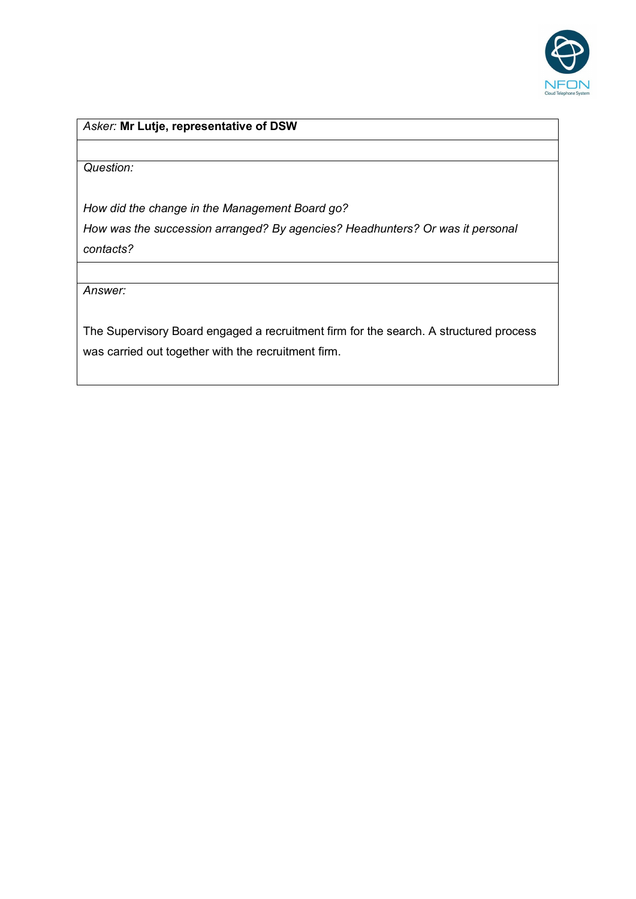

*Question:* 

*How did the change in the Management Board go?* 

*How was the succession arranged? By agencies? Headhunters? Or was it personal contacts?*

*Answer:*

The Supervisory Board engaged a recruitment firm for the search. A structured process was carried out together with the recruitment firm.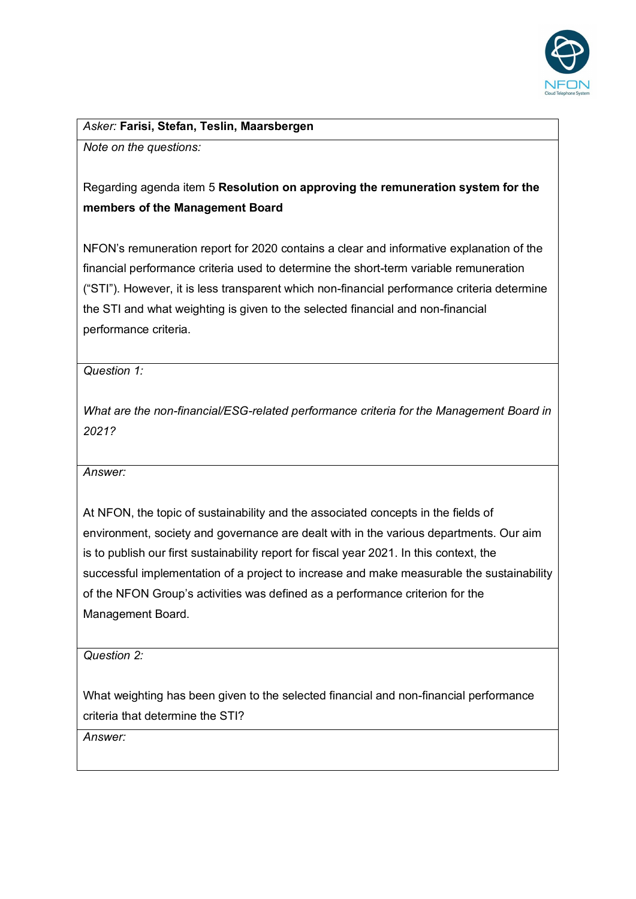

*Asker:* **Farisi, Stefan, Teslin, Maarsbergen**

*Note on the questions:*

# Regarding agenda item 5 **Resolution on approving the remuneration system for the members of the Management Board**

NFON's remuneration report for 2020 contains a clear and informative explanation of the financial performance criteria used to determine the short-term variable remuneration ("STI"). However, it is less transparent which non-financial performance criteria determine the STI and what weighting is given to the selected financial and non-financial performance criteria.

*Question 1:*

*What are the non-financial/ESG-related performance criteria for the Management Board in 2021?*

*Answer:*

At NFON, the topic of sustainability and the associated concepts in the fields of environment, society and governance are dealt with in the various departments. Our aim is to publish our first sustainability report for fiscal year 2021. In this context, the successful implementation of a project to increase and make measurable the sustainability of the NFON Group's activities was defined as a performance criterion for the Management Board.

*Question 2:*

What weighting has been given to the selected financial and non-financial performance criteria that determine the STI?

*Answer:*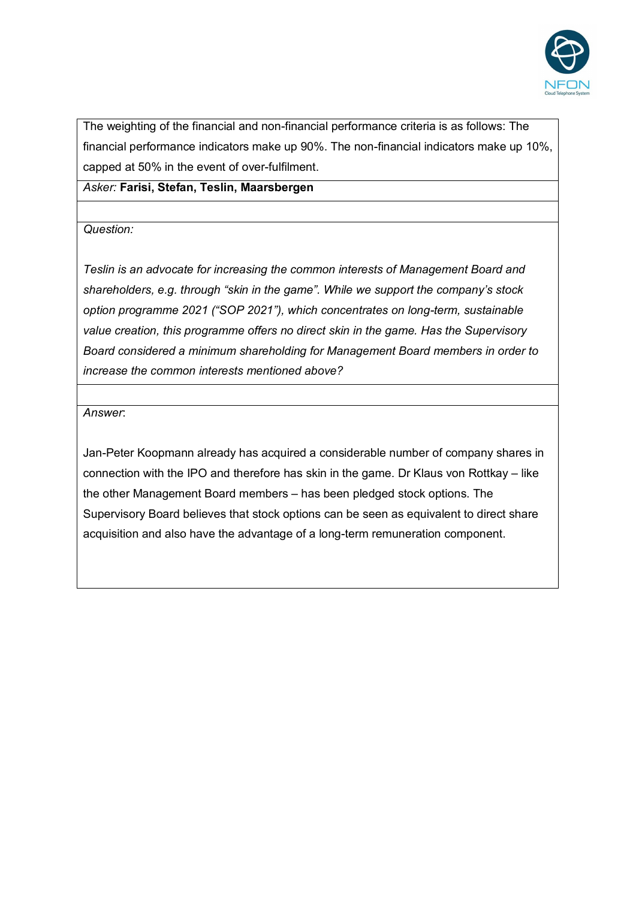

The weighting of the financial and non-financial performance criteria is as follows: The financial performance indicators make up 90%. The non-financial indicators make up 10%, capped at 50% in the event of over-fulfilment.

*Asker:* **Farisi, Stefan, Teslin, Maarsbergen**

*Question:*

*Teslin is an advocate for increasing the common interests of Management Board and shareholders, e.g. through "skin in the game". While we support the company's stock option programme 2021 ("SOP 2021"), which concentrates on long-term, sustainable value creation, this programme offers no direct skin in the game. Has the Supervisory Board considered a minimum shareholding for Management Board members in order to increase the common interests mentioned above?*

*Answer*:

Jan-Peter Koopmann already has acquired a considerable number of company shares in connection with the IPO and therefore has skin in the game. Dr Klaus von Rottkay – like the other Management Board members – has been pledged stock options. The Supervisory Board believes that stock options can be seen as equivalent to direct share acquisition and also have the advantage of a long-term remuneration component.